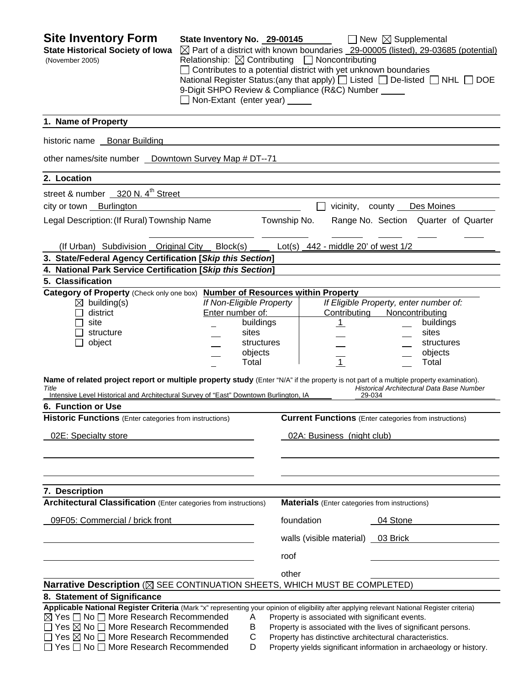| <b>Site Inventory Form</b><br><b>State Historical Society of Iowa</b><br>(November 2005)                                                                                                                                                                                                                                                                                                                                                                                                                               | State Inventory No. 29-00145<br>$\boxtimes$ Part of a district with known boundaries _29-00005 (listed), 29-03685 (potential)<br>Relationship: $\boxtimes$ Contributing $\Box$ Noncontributing<br>$\Box$ Contributes to a potential district with yet unknown boundaries<br>National Register Status: (any that apply) $\Box$ Listed $\Box$ De-listed $\Box$ NHL $\Box$ DOE<br>9-Digit SHPO Review & Compliance (R&C) Number _____<br>Non-Extant (enter year) _____ |              |                                                                                                                                                                             | $\Box$ New $\boxtimes$ Supplemental                                 |                                                                                                   |
|------------------------------------------------------------------------------------------------------------------------------------------------------------------------------------------------------------------------------------------------------------------------------------------------------------------------------------------------------------------------------------------------------------------------------------------------------------------------------------------------------------------------|---------------------------------------------------------------------------------------------------------------------------------------------------------------------------------------------------------------------------------------------------------------------------------------------------------------------------------------------------------------------------------------------------------------------------------------------------------------------|--------------|-----------------------------------------------------------------------------------------------------------------------------------------------------------------------------|---------------------------------------------------------------------|---------------------------------------------------------------------------------------------------|
| 1. Name of Property                                                                                                                                                                                                                                                                                                                                                                                                                                                                                                    |                                                                                                                                                                                                                                                                                                                                                                                                                                                                     |              |                                                                                                                                                                             |                                                                     |                                                                                                   |
| historic name Bonar Building                                                                                                                                                                                                                                                                                                                                                                                                                                                                                           |                                                                                                                                                                                                                                                                                                                                                                                                                                                                     |              |                                                                                                                                                                             |                                                                     |                                                                                                   |
| other names/site number  Downtown Survey Map # DT--71                                                                                                                                                                                                                                                                                                                                                                                                                                                                  |                                                                                                                                                                                                                                                                                                                                                                                                                                                                     |              |                                                                                                                                                                             |                                                                     |                                                                                                   |
| 2. Location                                                                                                                                                                                                                                                                                                                                                                                                                                                                                                            |                                                                                                                                                                                                                                                                                                                                                                                                                                                                     |              |                                                                                                                                                                             |                                                                     |                                                                                                   |
| street & number 320 N. 4 <sup>th</sup> Street                                                                                                                                                                                                                                                                                                                                                                                                                                                                          |                                                                                                                                                                                                                                                                                                                                                                                                                                                                     |              |                                                                                                                                                                             |                                                                     |                                                                                                   |
| city or town <b>Burlington</b>                                                                                                                                                                                                                                                                                                                                                                                                                                                                                         |                                                                                                                                                                                                                                                                                                                                                                                                                                                                     |              |                                                                                                                                                                             | vicinity, county Des Moines                                         |                                                                                                   |
| Legal Description: (If Rural) Township Name                                                                                                                                                                                                                                                                                                                                                                                                                                                                            |                                                                                                                                                                                                                                                                                                                                                                                                                                                                     | Township No. |                                                                                                                                                                             |                                                                     | Range No. Section Quarter of Quarter                                                              |
|                                                                                                                                                                                                                                                                                                                                                                                                                                                                                                                        |                                                                                                                                                                                                                                                                                                                                                                                                                                                                     |              |                                                                                                                                                                             |                                                                     |                                                                                                   |
| (If Urban) Subdivision Original City Block(s) Let(s) 442 - middle 20' of west 1/2                                                                                                                                                                                                                                                                                                                                                                                                                                      |                                                                                                                                                                                                                                                                                                                                                                                                                                                                     |              |                                                                                                                                                                             |                                                                     |                                                                                                   |
| 3. State/Federal Agency Certification [Skip this Section]                                                                                                                                                                                                                                                                                                                                                                                                                                                              |                                                                                                                                                                                                                                                                                                                                                                                                                                                                     |              |                                                                                                                                                                             |                                                                     |                                                                                                   |
| 4. National Park Service Certification [Skip this Section]                                                                                                                                                                                                                                                                                                                                                                                                                                                             |                                                                                                                                                                                                                                                                                                                                                                                                                                                                     |              |                                                                                                                                                                             |                                                                     |                                                                                                   |
| 5. Classification                                                                                                                                                                                                                                                                                                                                                                                                                                                                                                      |                                                                                                                                                                                                                                                                                                                                                                                                                                                                     |              |                                                                                                                                                                             |                                                                     |                                                                                                   |
| Category of Property (Check only one box) Number of Resources within Property<br>$\boxtimes$ building(s)<br>district<br>site<br>structure<br>object<br>ΙI<br>Name of related project report or multiple property study (Enter "N/A" if the property is not part of a multiple property examination).<br>Title<br>Intensive Level Historical and Architectural Survey of "East" Downtown Burlington, IA<br>6. Function or Use<br><b>Historic Functions</b> (Enter categories from instructions)<br>02E: Specialty store | If Non-Eligible Property<br>Enter number of:<br>buildings<br>sites<br>structures<br>objects<br>Total                                                                                                                                                                                                                                                                                                                                                                |              | Contributing<br>$\overline{\mathbf{1}}$<br>$\overline{1}$<br><b>Current Functions</b> (Enter categories from instructions)<br>02A: Business (night club)                    | If Eligible Property, enter number of:<br>Noncontributing<br>29-034 | buildings<br>sites<br>structures<br>objects<br>Total<br>Historical Architectural Data Base Number |
| 7. Description<br>Architectural Classification (Enter categories from instructions)<br>09F05: Commercial / brick front                                                                                                                                                                                                                                                                                                                                                                                                 |                                                                                                                                                                                                                                                                                                                                                                                                                                                                     | foundation   | <b>Materials</b> (Enter categories from instructions)<br>walls (visible material) 03 Brick                                                                                  | 04 Stone                                                            |                                                                                                   |
|                                                                                                                                                                                                                                                                                                                                                                                                                                                                                                                        |                                                                                                                                                                                                                                                                                                                                                                                                                                                                     | roof         |                                                                                                                                                                             |                                                                     |                                                                                                   |
|                                                                                                                                                                                                                                                                                                                                                                                                                                                                                                                        |                                                                                                                                                                                                                                                                                                                                                                                                                                                                     | other        |                                                                                                                                                                             |                                                                     |                                                                                                   |
| Narrative Description (X SEE CONTINUATION SHEETS, WHICH MUST BE COMPLETED)                                                                                                                                                                                                                                                                                                                                                                                                                                             |                                                                                                                                                                                                                                                                                                                                                                                                                                                                     |              |                                                                                                                                                                             |                                                                     |                                                                                                   |
| 8. Statement of Significance                                                                                                                                                                                                                                                                                                                                                                                                                                                                                           |                                                                                                                                                                                                                                                                                                                                                                                                                                                                     |              |                                                                                                                                                                             |                                                                     |                                                                                                   |
| Applicable National Register Criteria (Mark "x" representing your opinion of eligibility after applying relevant National Register criteria)<br>$\boxtimes$ Yes $\Box$ No $\Box$ More Research Recommended<br>□ Yes ⊠ No □ More Research Recommended<br>$\Box$ Yes $\boxtimes$ No $\Box$ More Research Recommended<br>$\Box$ Yes $\Box$ No $\Box$ More Research Recommended                                                                                                                                            | Α<br>В<br>С<br>D                                                                                                                                                                                                                                                                                                                                                                                                                                                    |              | Property is associated with significant events.<br>Property is associated with the lives of significant persons.<br>Property has distinctive architectural characteristics. |                                                                     | Property yields significant information in archaeology or history.                                |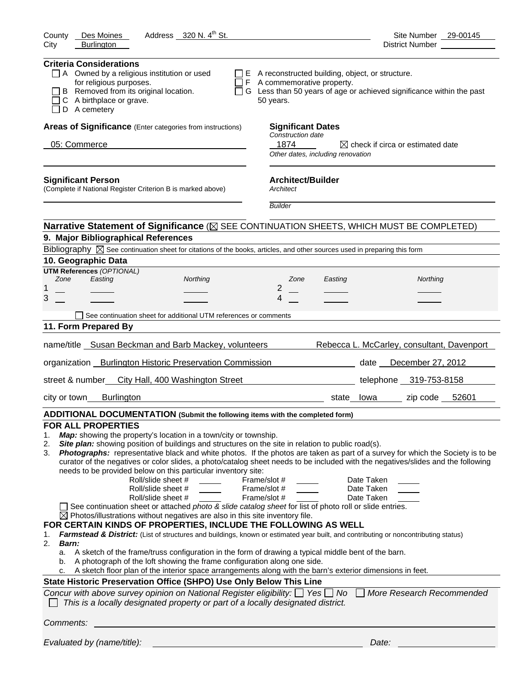| Address 320 N. 4 <sup>th</sup> St.<br>County<br>Des Moines                                                                                                                                                                                                                                                                                                                                                                                                                                                                                                                                                                                                                                                                                                                                                                                                                                                                                                                                                                                                                                                                                                                                                                                                                                                                                                                 | Site Number 29-00145                                                                                                                                                                                                                                                                                                                                                                          |
|----------------------------------------------------------------------------------------------------------------------------------------------------------------------------------------------------------------------------------------------------------------------------------------------------------------------------------------------------------------------------------------------------------------------------------------------------------------------------------------------------------------------------------------------------------------------------------------------------------------------------------------------------------------------------------------------------------------------------------------------------------------------------------------------------------------------------------------------------------------------------------------------------------------------------------------------------------------------------------------------------------------------------------------------------------------------------------------------------------------------------------------------------------------------------------------------------------------------------------------------------------------------------------------------------------------------------------------------------------------------------|-----------------------------------------------------------------------------------------------------------------------------------------------------------------------------------------------------------------------------------------------------------------------------------------------------------------------------------------------------------------------------------------------|
| <b>Burlington</b><br>City                                                                                                                                                                                                                                                                                                                                                                                                                                                                                                                                                                                                                                                                                                                                                                                                                                                                                                                                                                                                                                                                                                                                                                                                                                                                                                                                                  | District Number                                                                                                                                                                                                                                                                                                                                                                               |
| <b>Criteria Considerations</b><br>$\Box$ A Owned by a religious institution or used<br>for religious purposes.<br>B Removed from its original location.<br>C A birthplace or grave.<br>D A cemetery                                                                                                                                                                                                                                                                                                                                                                                                                                                                                                                                                                                                                                                                                                                                                                                                                                                                                                                                                                                                                                                                                                                                                                        | $\Box$ E A reconstructed building, object, or structure.<br>$\Box$ F A commemorative property.<br>$\Box$ G Less than 50 years of age or achieved significance within the past<br>50 years.                                                                                                                                                                                                    |
| Areas of Significance (Enter categories from instructions)                                                                                                                                                                                                                                                                                                                                                                                                                                                                                                                                                                                                                                                                                                                                                                                                                                                                                                                                                                                                                                                                                                                                                                                                                                                                                                                 | <b>Significant Dates</b>                                                                                                                                                                                                                                                                                                                                                                      |
| 05: Commerce                                                                                                                                                                                                                                                                                                                                                                                                                                                                                                                                                                                                                                                                                                                                                                                                                                                                                                                                                                                                                                                                                                                                                                                                                                                                                                                                                               | Construction date<br>1874<br>$\boxtimes$ check if circa or estimated date<br>Other dates, including renovation                                                                                                                                                                                                                                                                                |
| <b>Significant Person</b><br>(Complete if National Register Criterion B is marked above)                                                                                                                                                                                                                                                                                                                                                                                                                                                                                                                                                                                                                                                                                                                                                                                                                                                                                                                                                                                                                                                                                                                                                                                                                                                                                   | <b>Architect/Builder</b><br>Architect                                                                                                                                                                                                                                                                                                                                                         |
|                                                                                                                                                                                                                                                                                                                                                                                                                                                                                                                                                                                                                                                                                                                                                                                                                                                                                                                                                                                                                                                                                                                                                                                                                                                                                                                                                                            | <b>Builder</b>                                                                                                                                                                                                                                                                                                                                                                                |
| Narrative Statement of Significance ( $\boxtimes$ SEE CONTINUATION SHEETS, WHICH MUST BE COMPLETED)                                                                                                                                                                                                                                                                                                                                                                                                                                                                                                                                                                                                                                                                                                                                                                                                                                                                                                                                                                                                                                                                                                                                                                                                                                                                        |                                                                                                                                                                                                                                                                                                                                                                                               |
| 9. Major Bibliographical References                                                                                                                                                                                                                                                                                                                                                                                                                                                                                                                                                                                                                                                                                                                                                                                                                                                                                                                                                                                                                                                                                                                                                                                                                                                                                                                                        |                                                                                                                                                                                                                                                                                                                                                                                               |
| Bibliography $\boxtimes$ See continuation sheet for citations of the books, articles, and other sources used in preparing this form                                                                                                                                                                                                                                                                                                                                                                                                                                                                                                                                                                                                                                                                                                                                                                                                                                                                                                                                                                                                                                                                                                                                                                                                                                        |                                                                                                                                                                                                                                                                                                                                                                                               |
| 10. Geographic Data                                                                                                                                                                                                                                                                                                                                                                                                                                                                                                                                                                                                                                                                                                                                                                                                                                                                                                                                                                                                                                                                                                                                                                                                                                                                                                                                                        |                                                                                                                                                                                                                                                                                                                                                                                               |
| <b>UTM References (OPTIONAL)</b><br>Zone<br>Easting<br>Northing                                                                                                                                                                                                                                                                                                                                                                                                                                                                                                                                                                                                                                                                                                                                                                                                                                                                                                                                                                                                                                                                                                                                                                                                                                                                                                            | Zone<br>Northing<br>Easting                                                                                                                                                                                                                                                                                                                                                                   |
| 1                                                                                                                                                                                                                                                                                                                                                                                                                                                                                                                                                                                                                                                                                                                                                                                                                                                                                                                                                                                                                                                                                                                                                                                                                                                                                                                                                                          | 2                                                                                                                                                                                                                                                                                                                                                                                             |
| 3                                                                                                                                                                                                                                                                                                                                                                                                                                                                                                                                                                                                                                                                                                                                                                                                                                                                                                                                                                                                                                                                                                                                                                                                                                                                                                                                                                          | 4                                                                                                                                                                                                                                                                                                                                                                                             |
| See continuation sheet for additional UTM references or comments                                                                                                                                                                                                                                                                                                                                                                                                                                                                                                                                                                                                                                                                                                                                                                                                                                                                                                                                                                                                                                                                                                                                                                                                                                                                                                           |                                                                                                                                                                                                                                                                                                                                                                                               |
| 11. Form Prepared By                                                                                                                                                                                                                                                                                                                                                                                                                                                                                                                                                                                                                                                                                                                                                                                                                                                                                                                                                                                                                                                                                                                                                                                                                                                                                                                                                       |                                                                                                                                                                                                                                                                                                                                                                                               |
|                                                                                                                                                                                                                                                                                                                                                                                                                                                                                                                                                                                                                                                                                                                                                                                                                                                                                                                                                                                                                                                                                                                                                                                                                                                                                                                                                                            |                                                                                                                                                                                                                                                                                                                                                                                               |
| name/title Susan Beckman and Barb Mackey, volunteers                                                                                                                                                                                                                                                                                                                                                                                                                                                                                                                                                                                                                                                                                                                                                                                                                                                                                                                                                                                                                                                                                                                                                                                                                                                                                                                       | Rebecca L. McCarley, consultant, Davenport                                                                                                                                                                                                                                                                                                                                                    |
| organization _ Burlington Historic Preservation Commission                                                                                                                                                                                                                                                                                                                                                                                                                                                                                                                                                                                                                                                                                                                                                                                                                                                                                                                                                                                                                                                                                                                                                                                                                                                                                                                 | date December 27, 2012                                                                                                                                                                                                                                                                                                                                                                        |
| street & number<br>City Hall, 400 Washington Street                                                                                                                                                                                                                                                                                                                                                                                                                                                                                                                                                                                                                                                                                                                                                                                                                                                                                                                                                                                                                                                                                                                                                                                                                                                                                                                        | telephone 319-753-8158                                                                                                                                                                                                                                                                                                                                                                        |
| <b>Burlington</b><br>city or town                                                                                                                                                                                                                                                                                                                                                                                                                                                                                                                                                                                                                                                                                                                                                                                                                                                                                                                                                                                                                                                                                                                                                                                                                                                                                                                                          | zip code 52601<br>state lowa                                                                                                                                                                                                                                                                                                                                                                  |
| ADDITIONAL DOCUMENTATION (Submit the following items with the completed form)                                                                                                                                                                                                                                                                                                                                                                                                                                                                                                                                                                                                                                                                                                                                                                                                                                                                                                                                                                                                                                                                                                                                                                                                                                                                                              |                                                                                                                                                                                                                                                                                                                                                                                               |
| <b>FOR ALL PROPERTIES</b><br>Map: showing the property's location in a town/city or township.<br>1.<br>Site plan: showing position of buildings and structures on the site in relation to public road(s).<br>2.<br>3.<br>needs to be provided below on this particular inventory site:<br>Roll/slide sheet #<br>Roll/slide sheet #<br>Roll/slide sheet #<br>See continuation sheet or attached photo & slide catalog sheet for list of photo roll or slide entries.<br>$\boxtimes$ Photos/illustrations without negatives are also in this site inventory file.<br>FOR CERTAIN KINDS OF PROPERTIES, INCLUDE THE FOLLOWING AS WELL<br>Farmstead & District: (List of structures and buildings, known or estimated year built, and contributing or noncontributing status)<br>1.<br>2.<br>Barn:<br>A sketch of the frame/truss configuration in the form of drawing a typical middle bent of the barn.<br>а.<br>A photograph of the loft showing the frame configuration along one side.<br>b.<br>A sketch floor plan of the interior space arrangements along with the barn's exterior dimensions in feet.<br>State Historic Preservation Office (SHPO) Use Only Below This Line<br>Concur with above survey opinion on National Register eligibility: $\Box$ Yes $\Box$ No<br>This is a locally designated property or part of a locally designated district.<br>Comments: | Photographs: representative black and white photos. If the photos are taken as part of a survey for which the Society is to be<br>curator of the negatives or color slides, a photo/catalog sheet needs to be included with the negatives/slides and the following<br>Date Taken<br>Frame/slot #<br>Frame/slot #<br>Date Taken<br>Frame/slot #<br>Date Taken<br>    More Research Recommended |
| Evaluated by (name/title):                                                                                                                                                                                                                                                                                                                                                                                                                                                                                                                                                                                                                                                                                                                                                                                                                                                                                                                                                                                                                                                                                                                                                                                                                                                                                                                                                 | Date:                                                                                                                                                                                                                                                                                                                                                                                         |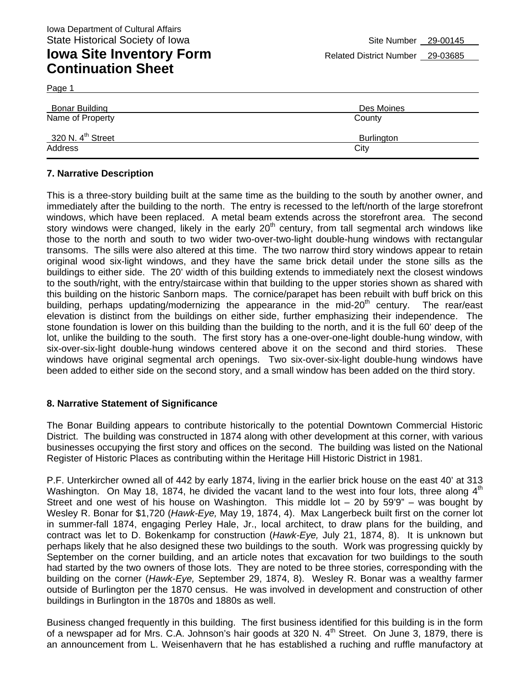Page 1

| Bonar Building                | Des Moines |  |  |
|-------------------------------|------------|--|--|
| Name of Property              | County     |  |  |
| 320 N. $4^{\text{th}}$ Street | Burlington |  |  |
| Address                       | City       |  |  |

#### **7. Narrative Description**

This is a three-story building built at the same time as the building to the south by another owner, and immediately after the building to the north. The entry is recessed to the left/north of the large storefront windows, which have been replaced. A metal beam extends across the storefront area. The second story windows were changed, likely in the early  $20<sup>th</sup>$  century, from tall segmental arch windows like those to the north and south to two wider two-over-two-light double-hung windows with rectangular transoms. The sills were also altered at this time. The two narrow third story windows appear to retain original wood six-light windows, and they have the same brick detail under the stone sills as the buildings to either side. The 20' width of this building extends to immediately next the closest windows to the south/right, with the entry/staircase within that building to the upper stories shown as shared with this building on the historic Sanborn maps. The cornice/parapet has been rebuilt with buff brick on this building, perhaps updating/modernizing the appearance in the mid-20<sup>th</sup> century. The rear/east elevation is distinct from the buildings on either side, further emphasizing their independence. The stone foundation is lower on this building than the building to the north, and it is the full 60' deep of the lot, unlike the building to the south. The first story has a one-over-one-light double-hung window, with six-over-six-light double-hung windows centered above it on the second and third stories. These windows have original segmental arch openings. Two six-over-six-light double-hung windows have been added to either side on the second story, and a small window has been added on the third story.

#### **8. Narrative Statement of Significance**

The Bonar Building appears to contribute historically to the potential Downtown Commercial Historic District. The building was constructed in 1874 along with other development at this corner, with various businesses occupying the first story and offices on the second. The building was listed on the National Register of Historic Places as contributing within the Heritage Hill Historic District in 1981.

P.F. Unterkircher owned all of 442 by early 1874, living in the earlier brick house on the east 40' at 313 Washington. On May 18, 1874, he divided the vacant land to the west into four lots, three along 4<sup>th</sup> Street and one west of his house on Washington. This middle lot  $-$  20 by 59'9" – was bought by Wesley R. Bonar for \$1,720 (*Hawk-Eye,* May 19, 1874, 4). Max Langerbeck built first on the corner lot in summer-fall 1874, engaging Perley Hale, Jr., local architect, to draw plans for the building, and contract was let to D. Bokenkamp for construction (*Hawk-Eye,* July 21, 1874, 8). It is unknown but perhaps likely that he also designed these two buildings to the south. Work was progressing quickly by September on the corner building, and an article notes that excavation for two buildings to the south had started by the two owners of those lots. They are noted to be three stories, corresponding with the building on the corner (*Hawk-Eye,* September 29, 1874, 8). Wesley R. Bonar was a wealthy farmer outside of Burlington per the 1870 census. He was involved in development and construction of other buildings in Burlington in the 1870s and 1880s as well.

Business changed frequently in this building. The first business identified for this building is in the form of a newspaper ad for Mrs. C.A. Johnson's hair goods at 320 N.  $4<sup>th</sup>$  Street. On June 3, 1879, there is an announcement from L. Weisenhavern that he has established a ruching and ruffle manufactory at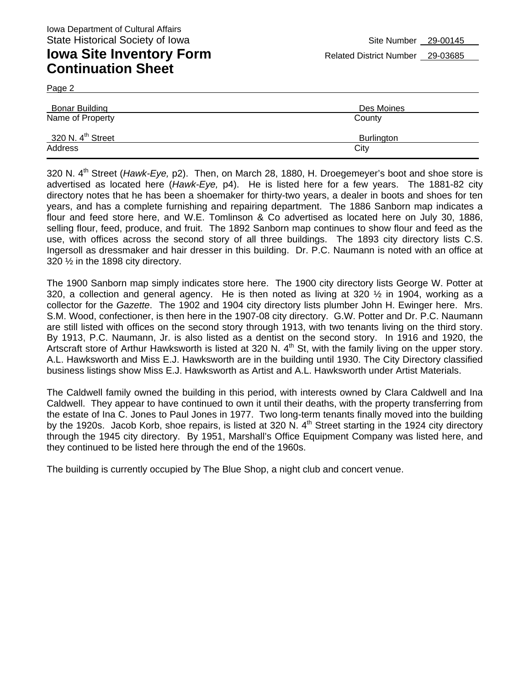Page 2

| Des Moines<br>County |  |  |
|----------------------|--|--|
| Burlington<br>City   |  |  |
|                      |  |  |

320 N. 4th Street (*Hawk-Eye,* p2). Then, on March 28, 1880, H. Droegemeyer's boot and shoe store is advertised as located here (*Hawk-Eye,* p4). He is listed here for a few years. The 1881-82 city directory notes that he has been a shoemaker for thirty-two years, a dealer in boots and shoes for ten years, and has a complete furnishing and repairing department. The 1886 Sanborn map indicates a flour and feed store here, and W.E. Tomlinson & Co advertised as located here on July 30, 1886, selling flour, feed, produce, and fruit. The 1892 Sanborn map continues to show flour and feed as the use, with offices across the second story of all three buildings. The 1893 city directory lists C.S. Ingersoll as dressmaker and hair dresser in this building. Dr. P.C. Naumann is noted with an office at 320 ½ in the 1898 city directory.

The 1900 Sanborn map simply indicates store here. The 1900 city directory lists George W. Potter at 320, a collection and general agency. He is then noted as living at 320  $\frac{1}{2}$  in 1904, working as a collector for the *Gazette*. The 1902 and 1904 city directory lists plumber John H. Ewinger here. Mrs. S.M. Wood, confectioner, is then here in the 1907-08 city directory. G.W. Potter and Dr. P.C. Naumann are still listed with offices on the second story through 1913, with two tenants living on the third story. By 1913, P.C. Naumann, Jr. is also listed as a dentist on the second story. In 1916 and 1920, the Artscraft store of Arthur Hawksworth is listed at 320 N. 4<sup>th</sup> St, with the family living on the upper story. A.L. Hawksworth and Miss E.J. Hawksworth are in the building until 1930. The City Directory classified business listings show Miss E.J. Hawksworth as Artist and A.L. Hawksworth under Artist Materials.

The Caldwell family owned the building in this period, with interests owned by Clara Caldwell and Ina Caldwell. They appear to have continued to own it until their deaths, with the property transferring from the estate of Ina C. Jones to Paul Jones in 1977. Two long-term tenants finally moved into the building by the 1920s. Jacob Korb, shoe repairs, is listed at 320 N. 4<sup>th</sup> Street starting in the 1924 city directory through the 1945 city directory. By 1951, Marshall's Office Equipment Company was listed here, and they continued to be listed here through the end of the 1960s.

The building is currently occupied by The Blue Shop, a night club and concert venue.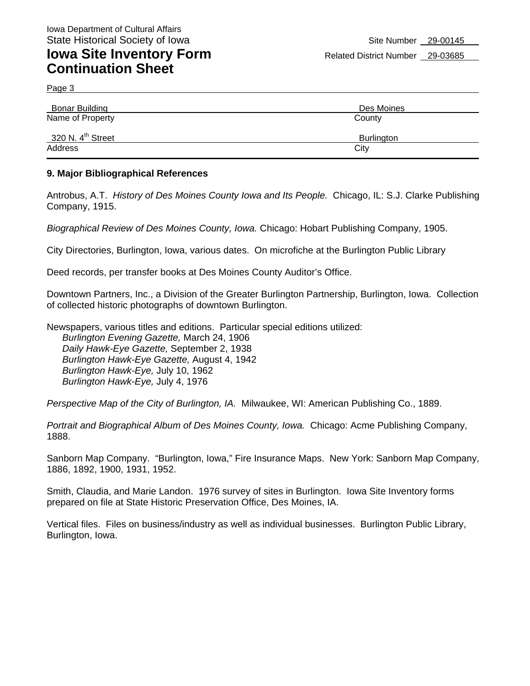Page 3

| <b>Bonar Building</b>         | Des Moines |
|-------------------------------|------------|
| Name of Property              | County     |
| 320 N. $4^{\text{th}}$ Street | Burlington |
| Address                       | City       |

#### **9. Major Bibliographical References**

Antrobus, A.T. *History of Des Moines County Iowa and Its People.* Chicago, IL: S.J. Clarke Publishing Company, 1915.

*Biographical Review of Des Moines County, Iowa.* Chicago: Hobart Publishing Company, 1905.

City Directories, Burlington, Iowa, various dates. On microfiche at the Burlington Public Library

Deed records, per transfer books at Des Moines County Auditor's Office.

Downtown Partners, Inc., a Division of the Greater Burlington Partnership, Burlington, Iowa. Collection of collected historic photographs of downtown Burlington.

Newspapers, various titles and editions. Particular special editions utilized: *Burlington Evening Gazette,* March 24, 1906 *Daily Hawk-Eye Gazette,* September 2, 1938 *Burlington Hawk-Eye Gazette,* August 4, 1942 *Burlington Hawk-Eye,* July 10, 1962 *Burlington Hawk-Eye,* July 4, 1976

*Perspective Map of the City of Burlington, IA.* Milwaukee, WI: American Publishing Co., 1889.

*Portrait and Biographical Album of Des Moines County, Iowa.* Chicago: Acme Publishing Company, 1888.

Sanborn Map Company. "Burlington, Iowa," Fire Insurance Maps. New York: Sanborn Map Company, 1886, 1892, 1900, 1931, 1952.

Smith, Claudia, and Marie Landon. 1976 survey of sites in Burlington. Iowa Site Inventory forms prepared on file at State Historic Preservation Office, Des Moines, IA.

Vertical files. Files on business/industry as well as individual businesses. Burlington Public Library, Burlington, Iowa.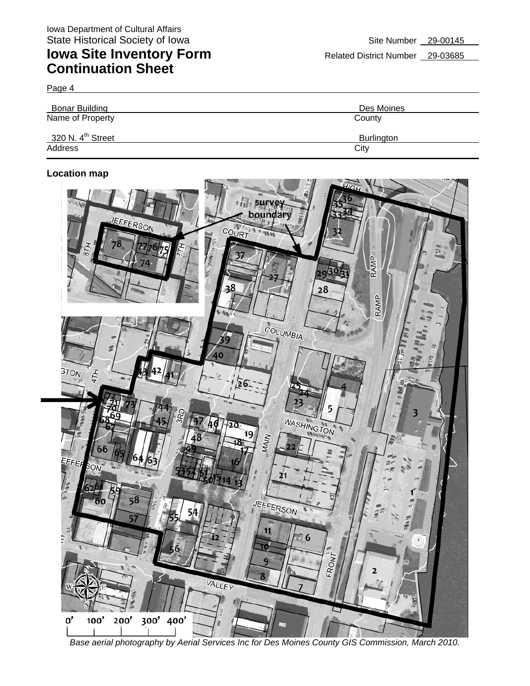Page 4

| Bonar Building<br>Name of Property | Des Moines<br>County |  |  |
|------------------------------------|----------------------|--|--|
| 320 N. 4 <sup>th</sup> Street      | Burlington           |  |  |
| Address                            | City                 |  |  |

#### **Location map**



*Base aerial photography by Aerial Services Inc for Des Moines County GIS Commission, March 2010.*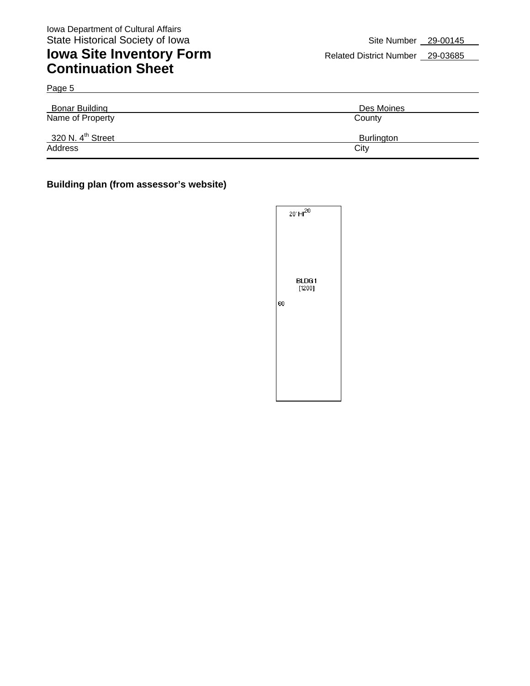Page 5

## **Iowa Site Inventory Form** Related District Number 29-03685 **Continuation Sheet**

| <b>Bonar Building</b>         | Des Moines        |  |  |
|-------------------------------|-------------------|--|--|
| Name of Property              | County            |  |  |
| 320 N. 4 <sup>th</sup> Street | <b>Burlington</b> |  |  |
| Address                       | City              |  |  |

#### **Building plan (from assessor's website)**

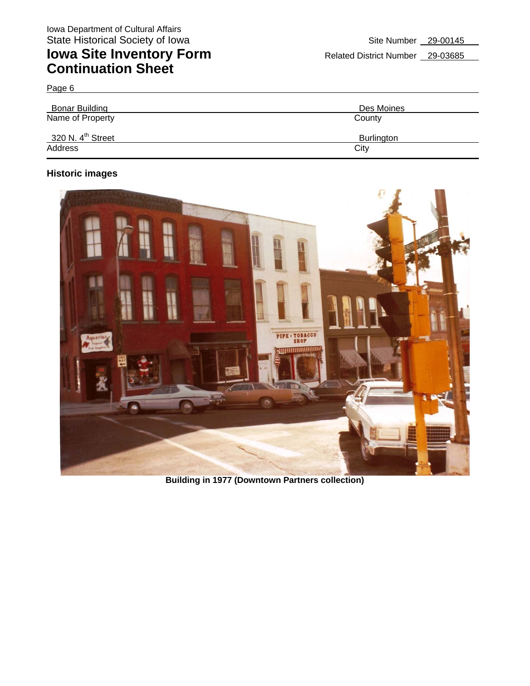| Page 6                        |                   |
|-------------------------------|-------------------|
| Bonar Building                | Des Moines        |
| Name of Property              | County            |
| 320 N. 4 <sup>th</sup> Street | <b>Burlington</b> |
| Address                       | City              |

#### **Historic images**



**Building in 1977 (Downtown Partners collection)**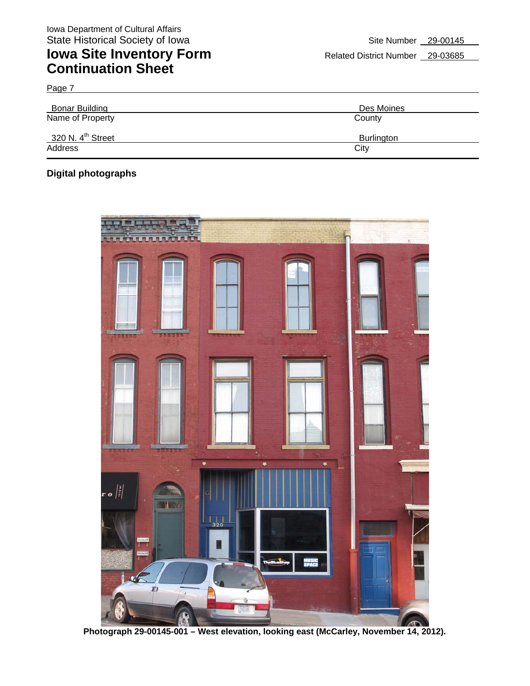| Bonar Building<br>Name of Property | Des Moines<br>County |
|------------------------------------|----------------------|
| 320 N. 4 <sup>th</sup> Street      | <b>Burlington</b>    |
| Address                            | City                 |

#### **Digital photographs**

Page 7



**Photograph 29-00145-001 – West elevation, looking east (McCarley, November 14, 2012).**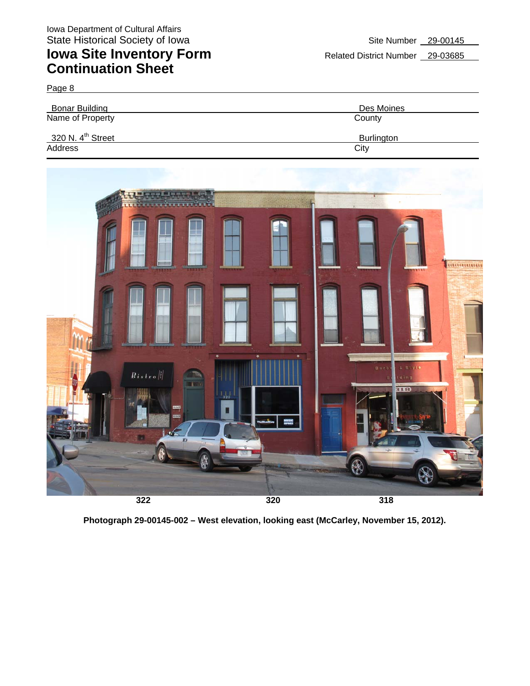| Page 8                        |            |
|-------------------------------|------------|
| <b>Bonar Building</b>         | Des Moines |
| Name of Property              | County     |
| 320 N. $4^{\text{th}}$ Street | Burlington |
| Address                       | City       |



**Photograph 29-00145-002 – West elevation, looking east (McCarley, November 15, 2012).**